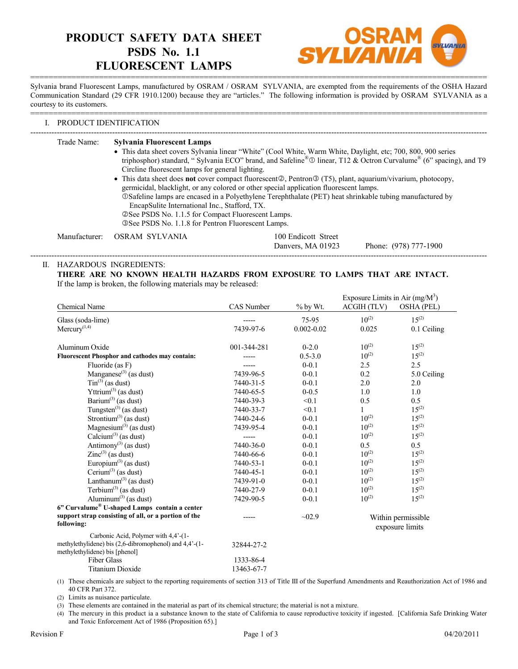# **PRODUCT SAFETY DATA SHEET PSDS No. 1.1 FLUORESCENT LAMPS**



==================================================================================================== Sylvania brand Fluorescent Lamps, manufactured by OSRAM / OSRAM SYLVANIA, are exempted from the requirements of the OSHA Hazard Communication Standard (29 CFR 1910.1200) because they are "articles." The following information is provided by OSRAM SYLVANIA as a courtesy to its customers.

====================================================================================================

## I. PRODUCT IDENTIFICATION

| Trade Name:   | <b>Sylvania Fluorescent Lamps</b><br>• This data sheet covers Sylvania linear "White" (Cool White, Warm White, Daylight, etc; 700, 800, 900 series<br>Circline fluorescent lamps for general lighting.<br>• This data sheet does <b>not</b> cover compact fluorescent $\mathbb{Q}$ , Pentron $\mathbb{Q}$ (T5), plant, aquarium/vivarium, photocopy,<br>EncapSulite International Inc., Stafford, TX.<br>© See PSDS No. 1.1.5 for Compact Fluorescent Lamps.<br><b>3 See PSDS No. 1.1.8 for Pentron Fluorescent Lamps.</b> | germicidal, blacklight, or any colored or other special application fluorescent lamps.<br><b>OSafeline lamps are encased in a Polyethylene Terephthalate (PET) heat shrinkable tubing manufactured by</b> | triphosphor) standard, "Sylvania ECO" brand, and Safeline® $\textcircled{D}$ linear, T12 & Octron Curvalume® (6" spacing), and T9 |
|---------------|----------------------------------------------------------------------------------------------------------------------------------------------------------------------------------------------------------------------------------------------------------------------------------------------------------------------------------------------------------------------------------------------------------------------------------------------------------------------------------------------------------------------------|-----------------------------------------------------------------------------------------------------------------------------------------------------------------------------------------------------------|-----------------------------------------------------------------------------------------------------------------------------------|
| Manufacturer: | - OSRAM-SYLVANIA                                                                                                                                                                                                                                                                                                                                                                                                                                                                                                           | 100 Endicott Street<br>Danvers, MA 01923                                                                                                                                                                  | Phone: (978) 777-1900                                                                                                             |

# II. HAZARDOUS INGREDIENTS:

**THERE ARE NO KNOWN HEALTH HAZARDS FROM EXPOSURE TO LAMPS THAT ARE INTACT.** If the lamp is broken, the following materials may be released:

|                                                                                                                                                        |                         |                | Exposure Limits in Air $(mg/M^3)$     |                   |
|--------------------------------------------------------------------------------------------------------------------------------------------------------|-------------------------|----------------|---------------------------------------|-------------------|
| Chemical Name                                                                                                                                          | <b>CAS</b> Number       | % by Wt.       | ACGIH (TLV)                           | <b>OSHA (PEL)</b> |
| Glass (soda-lime)                                                                                                                                      |                         | 75-95          | $10^{(2)}$                            | $15^{(2)}$        |
| $Mercury$ <sup>(1,4)</sup>                                                                                                                             | 7439-97-6               | $0.002 - 0.02$ | 0.025                                 | 0.1 Ceiling       |
| Aluminum Oxide                                                                                                                                         | 001-344-281             | $0 - 2.0$      | $10^{(2)}$                            | $15^{(2)}$        |
| <b>Fluorescent Phosphor and cathodes may contain:</b>                                                                                                  |                         | $0.5 - 3.0$    | $10^{(2)}$                            | $15^{(2)}$        |
| Fluoride (as F)                                                                                                                                        |                         | $0 - 0.1$      | 2.5                                   | 2.5               |
| Manganese <sup>(3)</sup> (as dust)                                                                                                                     | 7439-96-5               | $0 - 0.1$      | 0.2                                   | 5.0 Ceiling       |
| $\text{Sin}^{(3)}$ (as dust)                                                                                                                           | 7440-31-5               | $0 - 0.1$      | 2.0                                   | 2.0               |
| Yttrium <sup>(3)</sup> (as dust)                                                                                                                       | 7440-65-5               | $0 - 0.5$      | 1.0                                   | 1.0               |
| Barium <sup>(3)</sup> (as dust)                                                                                                                        | 7440-39-3               | < 0.1          | 0.5                                   | 0.5               |
| Tungsten $^{(3)}$ (as dust)                                                                                                                            | 7440-33-7               | < 0.1          | 1                                     | $15^{(2)}$        |
| Strontium <sup>(3)</sup> (as dust)                                                                                                                     | 7440-24-6               | $0 - 0.1$      | $10^{(2)}$                            | $15^{(2)}$        |
| Magnesium $(3)$ (as dust)                                                                                                                              | 7439-95-4               | $0 - 0.1$      | $10^{(2)}$                            | $15^{(2)}$        |
| Calcium <sup>(3)</sup> (as dust)                                                                                                                       | -----                   | $0 - 0.1$      | $10^{(2)}$                            | $15^{(2)}$        |
| Antimony <sup>(3)</sup> (as dust)                                                                                                                      | 7440-36-0               | $0 - 0.1$      | 0.5                                   | 0.5               |
| $\text{Zinc}^{(3)}$ (as dust)                                                                                                                          | 7440-66-6               | $0 - 0.1$      | $10^{(2)}$                            | $15^{(2)}$        |
| Europium <sup>(3)</sup> (as dust)                                                                                                                      | 7440-53-1               | $0 - 0.1$      | $10^{(2)}$                            | $15^{(2)}$        |
| Cerium <sup>(3)</sup> (as dust)                                                                                                                        | 7440-45-1               | $0 - 0.1$      | $10^{(2)}$                            | $15^{(2)}$        |
| Lanthanum <sup>(3)</sup> (as dust)                                                                                                                     | 7439-91-0               | $0 - 0.1$      | $10^{(2)}$                            | $15^{(2)}$        |
| Terbium $^{(3)}$ (as dust)                                                                                                                             | 7440-27-9               | $0 - 0.1$      | $10^{(2)}$                            | $15^{(2)}$        |
| Aluminum $^{(3)}$ (as dust)                                                                                                                            | 7429-90-5               | $0 - 0.1$      | $10^{(2)}$                            | $15^{(2)}$        |
| 6" Curvalume® U-shaped Lamps contain a center                                                                                                          |                         |                |                                       |                   |
| support strap consisting of all, or a portion of the<br>following:                                                                                     |                         | $-02.9$        | Within permissible<br>exposure limits |                   |
| Carbonic Acid, Polymer with 4,4'-(1-<br>methylethylidene) bis (2,6-dibromophenol) and 4,4'-(1-<br>methylethylidene) bis [phenol]<br><b>Fiber Glass</b> | 32844-27-2<br>1333-86-4 |                |                                       |                   |
| <b>Titanium Dioxide</b>                                                                                                                                | 13463-67-7              |                |                                       |                   |
|                                                                                                                                                        |                         |                |                                       |                   |

(1) These chemicals are subject to the reporting requirements of section 313 of Title III of the Superfund Amendments and Reauthorization Act of 1986 and 40 CFR Part 372.

(2) Limits as nuisance particulate.

(3) These elements are contained in the material as part of its chemical structure; the material is not a mixture.

(4) The mercury in this product ia a substance known to the state of California to cause reproductive toxicity if ingested. [California Safe Drinking Water and Toxic Enforcement Act of 1986 (Proposition 65).]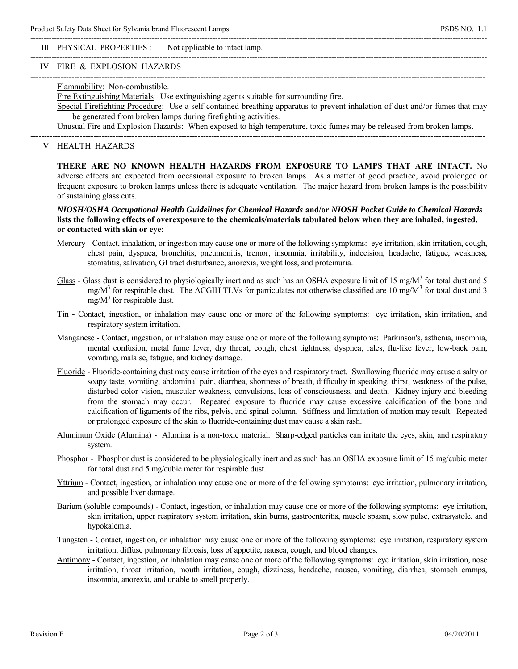III. PHYSICAL PROPERTIES : Not applicable to intact lamp.

### IV. FIRE & EXPLOSION HAZARDS

### Flammability: Non-combustible.

Fire Extinguishing Materials: Use extinguishing agents suitable for surrounding fire.

----------------------------------------------------------------------------------------------------------------------------------------------------------------------

Special Firefighting Procedure: Use a self-contained breathing apparatus to prevent inhalation of dust and/or fumes that may be generated from broken lamps during firefighting activities.

 $-++++++++$ 

Unusual Fire and Explosion Hazards: When exposed to high temperature, toxic fumes may be released from broken lamps.

----------------------------------------------------------------------------------------------------------------------------------------------------------------------

-----------------------------------------------------------------------------------------------------------------------------------------------------------------------------

-----------------------------------------------------------------------------------------------------------------------------------------------------------------------------

## V. HEALTH HAZARDS

**THERE ARE NO KNOWN HEALTH HAZARDS FROM EXPOSURE TO LAMPS THAT ARE INTACT.** No adverse effects are expected from occasional exposure to broken lamps. As a matter of good practice, avoid prolonged or frequent exposure to broken lamps unless there is adequate ventilation. The major hazard from broken lamps is the possibility of sustaining glass cuts.

# *NIOSH/OSHA Occupational Health Guidelines for Chemical Hazards* **and/or** *NIOSH Pocket Guide to Chemical Hazards* **lists the following effects of overexposure to the chemicals/materials tabulated below when they are inhaled, ingested, or contacted with skin or eye:**

- Mercury Contact, inhalation, or ingestion may cause one or more of the following symptoms: eye irritation, skin irritation, cough, chest pain, dyspnea, bronchitis, pneumonitis, tremor, insomnia, irritability, indecision, headache, fatigue, weakness, stomatitis, salivation, GI tract disturbance, anorexia, weight loss, and proteinuria.
- Glass Glass dust is considered to physiologically inert and as such has an OSHA exposure limit of 15 mg/M<sup>3</sup> for total dust and 5 mg/ $M<sup>3</sup>$  for respirable dust. The ACGIH TLVs for particulates not otherwise classified are 10 mg/ $M<sup>3</sup>$  for total dust and 3  $mg/M^3$  for respirable dust.
	- Tin Contact, ingestion, or inhalation may cause one or more of the following symptoms: eye irritation, skin irritation, and respiratory system irritation.
	- Manganese Contact, ingestion, or inhalation may cause one or more of the following symptoms: Parkinson's, asthenia, insomnia, mental confusion, metal fume fever, dry throat, cough, chest tightness, dyspnea, rales, flu-like fever, low-back pain, vomiting, malaise, fatigue, and kidney damage.
	- Fluoride Fluoride-containing dust may cause irritation of the eyes and respiratory tract. Swallowing fluoride may cause a salty or soapy taste, vomiting, abdominal pain, diarrhea, shortness of breath, difficulty in speaking, thirst, weakness of the pulse, disturbed color vision, muscular weakness, convulsions, loss of consciousness, and death. Kidney injury and bleeding from the stomach may occur. Repeated exposure to fluoride may cause excessive calcification of the bone and calcification of ligaments of the ribs, pelvis, and spinal column. Stiffness and limitation of motion may result. Repeated or prolonged exposure of the skin to fluoride-containing dust may cause a skin rash.
	- Aluminum Oxide (Alumina) Alumina is a non-toxic material. Sharp-edged particles can irritate the eyes, skin, and respiratory system.
	- Phosphor Phosphor dust is considered to be physiologically inert and as such has an OSHA exposure limit of 15 mg/cubic meter for total dust and 5 mg/cubic meter for respirable dust.
	- Yttrium Contact, ingestion, or inhalation may cause one or more of the following symptoms: eye irritation, pulmonary irritation, and possible liver damage.
	- Barium (soluble compounds) Contact, ingestion, or inhalation may cause one or more of the following symptoms: eye irritation, skin irritation, upper respiratory system irritation, skin burns, gastroenteritis, muscle spasm, slow pulse, extrasystole, and hypokalemia.
	- Tungsten Contact, ingestion, or inhalation may cause one or more of the following symptoms: eye irritation, respiratory system irritation, diffuse pulmonary fibrosis, loss of appetite, nausea, cough, and blood changes.
	- Antimony Contact, ingestion, or inhalation may cause one or more of the following symptoms: eye irritation, skin irritation, nose irritation, throat irritation, mouth irritation, cough, dizziness, headache, nausea, vomiting, diarrhea, stomach cramps, insomnia, anorexia, and unable to smell properly.